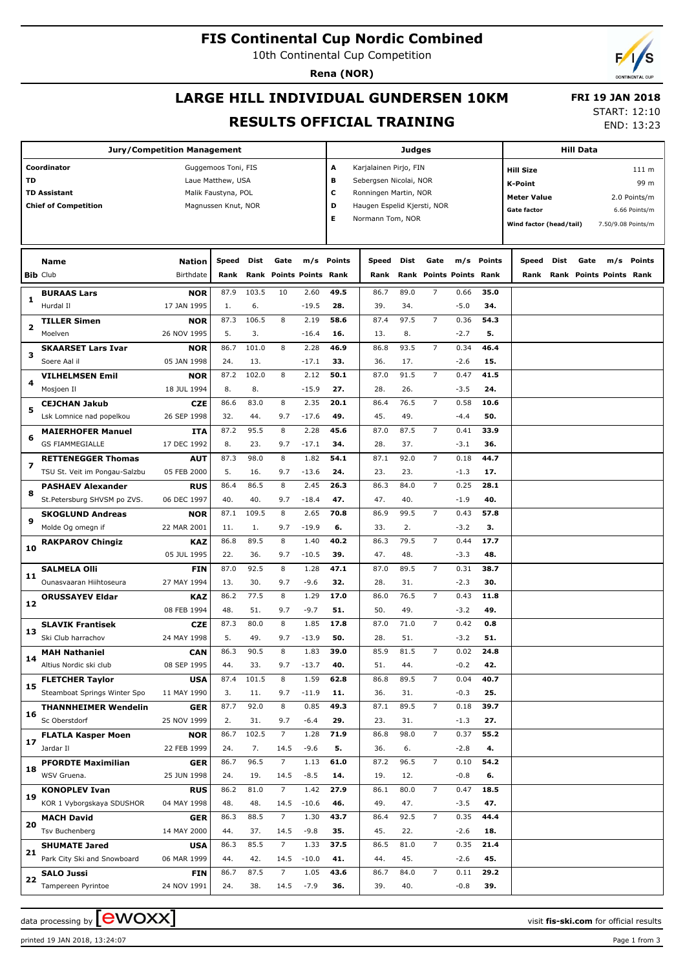## **FIS Continental Cup Nordic Combined**

10th Continental Cup Competition

**Rena (NOR)**

## **LARGE HILL INDIVIDUAL GUNDERSEN 10KM RESULTS OFFICIAL TRAINING**

 **FRI 19 JAN 2018** START: 12:10

END: 13:23

| Jury/Competition Management                |                               |                           |                     |             |                |                           |                                                 |                                                  | <b>Judges</b> |                           |        | <b>Hill Data</b> |                         |      |      |                         |               |
|--------------------------------------------|-------------------------------|---------------------------|---------------------|-------------|----------------|---------------------------|-------------------------------------------------|--------------------------------------------------|---------------|---------------------------|--------|------------------|-------------------------|------|------|-------------------------|---------------|
| Coordinator<br>Guggemoos Toni, FIS         |                               |                           |                     |             |                |                           | A<br>Karjalainen Pirjo, FIN<br><b>Hill Size</b> |                                                  |               |                           |        |                  |                         |      |      |                         | 111 m         |
| TD<br>Laue Matthew, USA                    |                               |                           |                     |             |                |                           | в<br>Sebergsen Nicolai, NOR<br><b>K-Point</b>   |                                                  |               |                           |        |                  |                         |      |      |                         |               |
| <b>TD Assistant</b><br>Malik Faustyna, POL |                               |                           |                     |             |                |                           |                                                 | c<br>Ronningen Martin, NOR<br><b>Meter Value</b> |               |                           |        |                  |                         |      |      | 99 m                    |               |
|                                            | <b>Chief of Competition</b>   |                           | Magnussen Knut, NOR |             |                |                           | D                                               | Haugen Espelid Kjersti, NOR                      |               |                           |        |                  |                         |      |      |                         | 2.0 Points/m  |
|                                            |                               |                           |                     |             |                |                           | Е                                               | Normann Tom, NOR                                 |               |                           |        |                  | Gate factor             |      |      |                         | 6.66 Points/m |
|                                            |                               |                           |                     |             |                |                           |                                                 |                                                  |               |                           |        |                  | Wind factor (head/tail) |      |      | 7.50/9.08 Points/m      |               |
|                                            |                               |                           |                     |             |                |                           |                                                 |                                                  |               |                           |        |                  |                         |      |      |                         |               |
|                                            | Name                          | Nation                    | Speed               | <b>Dist</b> | Gate           | m/s                       | <b>Points</b>                                   | Speed                                            | Dist          | Gate                      |        | m/s Points       | Speed                   | Dist | Gate |                         | m/s Points    |
|                                            | <b>Bib Club</b>               | <b>Birthdate</b>          | Rank                | Rank        |                | <b>Points Points Rank</b> |                                                 | Rank                                             | Rank          | <b>Points Points Rank</b> |        |                  | Rank                    |      |      | Rank Points Points Rank |               |
|                                            | <b>BURAAS Lars</b>            |                           | 87.9                | 103.5       | 10             |                           | 49.5                                            |                                                  | 89.0          | 7                         | 0.66   | 35.0             |                         |      |      |                         |               |
| 1                                          | Hurdal II                     | <b>NOR</b><br>17 JAN 1995 | 1.                  | 6.          |                | 2.60<br>$-19.5$           | 28.                                             | 86.7<br>39.                                      | 34.           |                           | $-5.0$ | 34.              |                         |      |      |                         |               |
|                                            | <b>TILLER Simen</b>           | <b>NOR</b>                | 87.3                | 106.5       | 8              | 2.19                      | 58.6                                            | 87.4                                             | 97.5          | 7                         | 0.36   | 54.3             |                         |      |      |                         |               |
| 2                                          | Moelven                       | 26 NOV 1995               | 5.                  | 3.          |                | $-16.4$                   | 16.                                             | 13.                                              | 8.            |                           | $-2.7$ | 5.               |                         |      |      |                         |               |
|                                            | <b>SKAARSET Lars Ivar</b>     | <b>NOR</b>                | 86.7                | 101.0       | 8              | 2.28                      | 46.9                                            | 86.8                                             | 93.5          | 7                         | 0.34   | 46.4             |                         |      |      |                         |               |
| з                                          | Soere Aal il                  | 05 JAN 1998               | 24.                 | 13.         |                | $-17.1$                   | 33.                                             | 36.                                              | 17.           |                           | $-2.6$ | 15.              |                         |      |      |                         |               |
|                                            | <b>VILHELMSEN Emil</b>        | <b>NOR</b>                | 87.2                | 102.0       | 8              | 2.12                      | 50.1                                            | 87.0                                             | 91.5          | 7                         | 0.47   | 41.5             |                         |      |      |                         |               |
| 4                                          | Mosjoen Il                    | 18 JUL 1994               | 8.                  | 8.          |                | $-15.9$                   | 27.                                             | 28.                                              | 26.           |                           | $-3.5$ | 24.              |                         |      |      |                         |               |
|                                            | <b>CEJCHAN Jakub</b>          | <b>CZE</b>                | 86.6                | 83.0        | 8              | 2.35                      | 20.1                                            | 86.4                                             | 76.5          | 7                         | 0.58   | 10.6             |                         |      |      |                         |               |
| 5                                          | Lsk Lomnice nad popelkou      | 26 SEP 1998               | 32.                 | 44.         | 9.7            | $-17.6$                   | 49.                                             | 45.                                              | 49.           |                           | $-4.4$ | 50.              |                         |      |      |                         |               |
|                                            | <b>MAIERHOFER Manuel</b>      | ITA                       | 87.2                | 95.5        | 8              | 2.28                      | 45.6                                            | 87.0                                             | 87.5          | 7                         | 0.41   | 33.9             |                         |      |      |                         |               |
| 6                                          | <b>GS FIAMMEGIALLE</b>        | 17 DEC 1992               | 8.                  | 23.         | 9.7            | $-17.1$                   | 34.                                             | 28.                                              | 37.           |                           | $-3.1$ | 36.              |                         |      |      |                         |               |
|                                            | <b>RETTENEGGER Thomas</b>     | <b>AUT</b>                | 87.3                | 98.0        | 8              | 1.82                      | 54.1                                            | 87.1                                             | 92.0          | 7                         | 0.18   | 44.7             |                         |      |      |                         |               |
| 7                                          | TSU St. Veit im Pongau-Salzbu | 05 FEB 2000               | 5.                  | 16.         | 9.7            | $-13.6$                   | 24.                                             | 23.                                              | 23.           |                           | $-1.3$ | 17.              |                         |      |      |                         |               |
|                                            | <b>PASHAEV Alexander</b>      | <b>RUS</b>                | 86.4                | 86.5        | 8              | 2.45                      | 26.3                                            | 86.3                                             | 84.0          | 7                         | 0.25   | 28.1             |                         |      |      |                         |               |
| 8                                          | St.Petersburg SHVSM po ZVS.   | 06 DEC 1997               | 40.                 | 40.         | 9.7            | $-18.4$                   | 47.                                             | 47.                                              | 40.           |                           | $-1.9$ | 40.              |                         |      |      |                         |               |
|                                            | <b>SKOGLUND Andreas</b>       | <b>NOR</b>                | 87.1                | 109.5       | 8              | 2.65                      | 70.8                                            | 86.9                                             | 99.5          | 7                         | 0.43   | 57.8             |                         |      |      |                         |               |
| 9                                          | Molde Og omegn if             | 22 MAR 2001               | 11.                 | 1.          | 9.7            | $-19.9$                   | 6.                                              | 33.                                              | 2.            |                           | $-3.2$ | З.               |                         |      |      |                         |               |
|                                            | <b>RAKPAROV Chingiz</b>       | <b>KAZ</b>                | 86.8                | 89.5        | 8              | 1.40                      | 40.2                                            | 86.3                                             | 79.5          | 7                         | 0.44   | 17.7             |                         |      |      |                         |               |
| 10                                         |                               | 05 JUL 1995               | 22.                 | 36.         | 9.7            | $-10.5$                   | 39.                                             | 47.                                              | 48.           |                           | $-3.3$ | 48.              |                         |      |      |                         |               |
|                                            | <b>SALMELA Olli</b>           | FIN                       | 87.0                | 92.5        | 8              | 1.28                      | 47.1                                            | 87.0                                             | 89.5          | 7                         | 0.31   | 38.7             |                         |      |      |                         |               |
| 11                                         | Ounasvaaran Hiihtoseura       | 27 MAY 1994               | 13.                 | 30.         | 9.7            | $-9.6$                    | 32.                                             | 28.                                              | 31.           |                           | $-2.3$ | 30.              |                         |      |      |                         |               |
|                                            | <b>ORUSSAYEV Eldar</b>        | <b>KAZ</b>                | 86.2                | 77.5        | 8              | 1.29                      | 17.0                                            | 86.0                                             | 76.5          | $\overline{7}$            | 0.43   | 11.8             |                         |      |      |                         |               |
| 12                                         |                               | 08 FEB 1994               | 48.                 | 51.         | 9.7            | $-9.7$                    | 51.                                             | 50.                                              | 49.           |                           | $-3.2$ | 49.              |                         |      |      |                         |               |
|                                            | <b>SLAVIK Frantisek</b>       | <b>CZE</b>                | 87.3                | 80.0        | 8              | 1.85                      | 17.8                                            | 87.0                                             | 71.0          | 7                         | 0.42   | 0.8              |                         |      |      |                         |               |
| 13                                         | Ski Club harrachov            | 24 MAY 1998               | 5.                  | 49.         | 9.7            | $-13.9$                   | 50.                                             | 28.                                              | 51.           |                           | $-3.2$ | 51.              |                         |      |      |                         |               |
|                                            | <b>MAH Nathaniel</b>          | CAN                       | 86.3                | 90.5        | 8              | 1.83                      | 39.0                                            | 85.9                                             | 81.5          | $\overline{7}$            | 0.02   | 24.8             |                         |      |      |                         |               |
| 14                                         | Altius Nordic ski club        | 08 SEP 1995               | 44.                 | 33.         | 9.7            | $-13.7$                   | 40.                                             | 51.                                              | 44.           |                           | $-0.2$ | 42.              |                         |      |      |                         |               |
|                                            | <b>FLETCHER Taylor</b>        | <b>USA</b>                | 87.4                | 101.5       | 8              | 1.59                      | 62.8                                            | 86.8                                             | 89.5          | $\overline{7}$            | 0.04   | 40.7             |                         |      |      |                         |               |
| 15                                         | Steamboat Springs Winter Spo  | 11 MAY 1990               | 3.                  | 11.         | 9.7            | $-11.9$                   | 11.                                             | 36.                                              | 31.           |                           | $-0.3$ | 25.              |                         |      |      |                         |               |
|                                            | <b>THANNHEIMER Wendelin</b>   | <b>GER</b>                | 87.7                | 92.0        | 8              | 0.85                      | 49.3                                            | 87.1                                             | 89.5          | $\overline{7}$            | 0.18   | 39.7             |                         |      |      |                         |               |
| 16                                         | Sc Oberstdorf                 | 25 NOV 1999               | 2.                  | 31.         | 9.7            | $-6.4$                    | 29.                                             | 23.                                              | 31.           |                           | $-1.3$ | 27.              |                         |      |      |                         |               |
|                                            | <b>FLATLA Kasper Moen</b>     | <b>NOR</b>                | 86.7                | 102.5       | $\overline{7}$ | 1.28                      | 71.9                                            | 86.8                                             | 98.0          | $\overline{7}$            | 0.37   | 55.2             |                         |      |      |                         |               |
| 17                                         | Jardar II                     | 22 FEB 1999               | 24.                 | 7.          | 14.5           | $-9.6$                    | 5.                                              | 36.                                              | 6.            |                           | $-2.8$ | 4.               |                         |      |      |                         |               |
|                                            | <b>PFORDTE Maximilian</b>     | <b>GER</b>                | 86.7                | 96.5        | $\overline{7}$ | 1.13                      | 61.0                                            | 87.2                                             | 96.5          | $\overline{7}$            | 0.10   | 54.2             |                         |      |      |                         |               |
| 18                                         | WSV Gruena.                   | 25 JUN 1998               | 24.                 | 19.         | 14.5           | $-8.5$                    | 14.                                             | 19.                                              | 12.           |                           | $-0.8$ | 6.               |                         |      |      |                         |               |
|                                            | <b>KONOPLEV Ivan</b>          | <b>RUS</b>                | 86.2                | 81.0        | $\overline{7}$ | 1.42                      | 27.9                                            | 86.1                                             | 80.0          | $\overline{7}$            | 0.47   | 18.5             |                         |      |      |                         |               |
| 19                                         | KOR 1 Vyborgskaya SDUSHOR     | 04 MAY 1998               | 48.                 | 48.         | 14.5           | $-10.6$                   | 46.                                             | 49.                                              | 47.           |                           | $-3.5$ | 47.              |                         |      |      |                         |               |
|                                            | <b>MACH David</b>             | GER                       | 86.3                | 88.5        | $\overline{7}$ | 1.30                      | 43.7                                            | 86.4                                             | 92.5          | $\overline{7}$            | 0.35   | 44.4             |                         |      |      |                         |               |
| 20                                         | <b>Tsv Buchenberg</b>         | 14 MAY 2000               | 44.                 | 37.         | 14.5           | $-9.8$                    | 35.                                             | 45.                                              | 22.           |                           | $-2.6$ | 18.              |                         |      |      |                         |               |
|                                            | <b>SHUMATE Jared</b>          | <b>USA</b>                | 86.3                | 85.5        | $\overline{7}$ | 1.33                      | 37.5                                            | 86.5                                             | 81.0          | $\overline{7}$            | 0.35   | 21.4             |                         |      |      |                         |               |
| 21                                         | Park City Ski and Snowboard   | 06 MAR 1999               | 44.                 | 42.         | 14.5           | $-10.0$                   | 41.                                             | 44.                                              | 45.           |                           | $-2.6$ | 45.              |                         |      |      |                         |               |
|                                            | SALO Jussi                    | FIN                       | 86.7                | 87.5        | $\overline{7}$ | 1.05                      | 43.6                                            | 86.7                                             | 84.0          | $\overline{7}$            | 0.11   | 29.2             |                         |      |      |                         |               |
| 22                                         | Tampereen Pyrintoe            | 24 NOV 1991               | 24.                 | 38.         | 14.5           | $-7.9$                    | 36.                                             | 39.                                              | 40.           |                           | $-0.8$ | 39.              |                         |      |      |                         |               |

data processing by **CWOXX** and  $\overline{A}$  wisit **fis-ski.com** for official results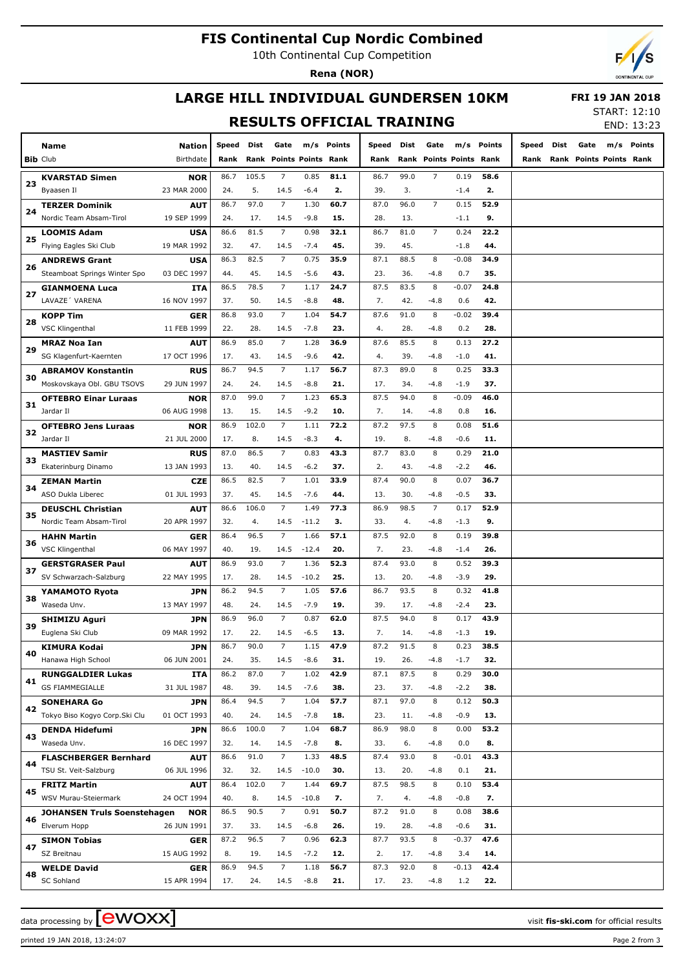# **FIS Continental Cup Nordic Combined**

10th Continental Cup Competition

**Rena (NOR)**



# **LARGE HILL INDIVIDUAL GUNDERSEN 10KM**

 **FRI 19 JAN 2018**

### **RESULTS OFFICIAL TRAINING**

| START: 12:10 |            |
|--------------|------------|
|              | END: 13:23 |

|    | Name<br><b>Bib Club</b>                             | Nation<br>Birthdate       | <b>Speed</b><br>Rank | Dist        | Gate<br>Rank Points Points Rank | m/s            | Points      | Speed<br>Rank | Dist        | Gate<br>Rank Points Points Rank | m/s            | Points      | Speed<br>Rank | Dist | Gate<br>Rank Points Points Rank | m/s | Points |
|----|-----------------------------------------------------|---------------------------|----------------------|-------------|---------------------------------|----------------|-------------|---------------|-------------|---------------------------------|----------------|-------------|---------------|------|---------------------------------|-----|--------|
|    |                                                     |                           |                      |             |                                 |                |             |               |             |                                 |                |             |               |      |                                 |     |        |
| 23 | <b>KVARSTAD Simen</b>                               | <b>NOR</b>                | 86.7                 | 105.5       | $\overline{7}$                  | 0.85           | 81.1        | 86.7          | 99.0        | $\overline{7}$                  | 0.19           | 58.6        |               |      |                                 |     |        |
|    | Byaasen Il                                          | 23 MAR 2000               | 24.                  | 5.          | 14.5                            | $-6.4$         | 2.          | 39.           | 3.          |                                 | $-1.4$         | 2.          |               |      |                                 |     |        |
| 24 | <b>TERZER Dominik</b>                               | AUT                       | 86.7                 | 97.0        | $\overline{7}$                  | 1.30           | 60.7        | 87.0          | 96.0        | $\overline{7}$                  | 0.15           | 52.9        |               |      |                                 |     |        |
|    | Nordic Team Absam-Tirol                             | 19 SEP 1999               | 24.                  | 17.         | 14.5                            | $-9.8$         | 15.         | 28.           | 13.         |                                 | $-1.1$         | 9.          |               |      |                                 |     |        |
| 25 | <b>LOOMIS Adam</b>                                  | <b>USA</b>                | 86.6                 | 81.5        | $\overline{7}$                  | 0.98           | 32.1        | 86.7          | 81.0        | $\overline{7}$                  | 0.24           | 22.2        |               |      |                                 |     |        |
|    | Flying Eagles Ski Club                              | 19 MAR 1992               | 32.                  | 47.         | 14.5                            | $-7.4$         | 45.         | 39.           | 45.         |                                 | $-1.8$         | 44.         |               |      |                                 |     |        |
| 26 | <b>ANDREWS Grant</b>                                | <b>USA</b>                | 86.3                 | 82.5        | $\overline{7}$                  | 0.75           | 35.9        | 87.1          | 88.5        | 8                               | $-0.08$        | 34.9        |               |      |                                 |     |        |
|    | Steamboat Springs Winter Spo                        | 03 DEC 1997               | 44.                  | 45.         | 14.5                            | $-5.6$         | 43.         | 23.           | 36.         | $-4.8$                          | 0.7            | 35.         |               |      |                                 |     |        |
| 27 | <b>GIANMOENA Luca</b>                               | ITA                       | 86.5                 | 78.5        | $\overline{7}$                  | 1.17           | 24.7        | 87.5          | 83.5        | 8                               | $-0.07$        | 24.8        |               |      |                                 |     |        |
|    | LAVAZE' VARENA                                      | 16 NOV 1997               | 37.                  | 50.         | 14.5                            | $-8.8$         | 48.         | 7.            | 42.         | $-4.8$                          | 0.6            | 42.         |               |      |                                 |     |        |
| 28 | <b>KOPP Tim</b>                                     | GER                       | 86.8                 | 93.0        | $\overline{7}$                  | 1.04           | 54.7        | 87.6          | 91.0        | 8                               | $-0.02$        | 39.4        |               |      |                                 |     |        |
|    | <b>VSC Klingenthal</b>                              | 11 FEB 1999               | 22.                  | 28.         | 14.5                            | $-7.8$         | 23.         | 4.            | 28.         | $-4.8$                          | 0.2            | 28.         |               |      |                                 |     |        |
| 29 | <b>MRAZ Noa Ian</b>                                 | AUT                       | 86.9                 | 85.0        | $\overline{7}$                  | 1.28           | 36.9        | 87.6          | 85.5        | 8                               | 0.13           | 27.2        |               |      |                                 |     |        |
|    | SG Klagenfurt-Kaernten                              | 17 OCT 1996               | 17.                  | 43.<br>94.5 | 14.5<br>$\overline{7}$          | $-9.6$         | 42.         | 4.            | 39.         | $-4.8$<br>8                     | $-1.0$<br>0.25 | 41.<br>33.3 |               |      |                                 |     |        |
| 30 | <b>ABRAMOV Konstantin</b>                           | <b>RUS</b>                | 86.7                 |             |                                 | 1.17           | 56.7        | 87.3          | 89.0        |                                 |                |             |               |      |                                 |     |        |
|    | Moskovskaya Obl. GBU TSOVS                          | 29 JUN 1997               | 24.                  | 24.         | 14.5                            | $-8.8$         | 21.         | 17.           | 34.         | $-4.8$                          | $-1.9$         | 37.         |               |      |                                 |     |        |
| 31 | <b>OFTEBRO Einar Luraas</b><br>Jardar II            | <b>NOR</b><br>06 AUG 1998 | 87.0                 | 99.0<br>15. | $\overline{7}$                  | 1.23<br>$-9.2$ | 65.3<br>10. | 87.5<br>7.    | 94.0        | 8                               | $-0.09$<br>0.8 | 46.0        |               |      |                                 |     |        |
|    |                                                     |                           | 13.                  | 102.0       | 14.5<br>$\overline{7}$          |                | 72.2        |               | 14.<br>97.5 | $-4.8$<br>8                     |                | 16.<br>51.6 |               |      |                                 |     |        |
| 32 | <b>OFTEBRO Jens Luraas</b>                          | <b>NOR</b>                | 86.9                 |             |                                 | 1.11           | 4.          | 87.2          |             |                                 | 0.08           |             |               |      |                                 |     |        |
|    | Jardar II                                           | 21 JUL 2000               | 17.<br>87.0          | 8.<br>86.5  | 14.5<br>$\overline{7}$          | $-8.3$<br>0.83 | 43.3        | 19.<br>87.7   | 8.<br>83.0  | $-4.8$<br>8                     | $-0.6$<br>0.29 | 11.<br>21.0 |               |      |                                 |     |        |
| 33 | <b>MASTIEV Samir</b>                                | <b>RUS</b>                |                      | 40.         |                                 | $-6.2$         | 37.         | 2.            | 43.         |                                 | $-2.2$         | 46.         |               |      |                                 |     |        |
|    | Ekaterinburg Dinamo                                 | 13 JAN 1993               | 13.<br>86.5          | 82.5        | 14.5<br>$\overline{7}$          | 1.01           | 33.9        | 87.4          | 90.0        | $-4.8$<br>8                     | 0.07           | 36.7        |               |      |                                 |     |        |
| 34 | <b>ZEMAN Martin</b><br>ASO Dukla Liberec            | <b>CZE</b><br>01 JUL 1993 | 37.                  | 45.         | 14.5                            | $-7.6$         | 44.         | 13.           | 30.         | $-4.8$                          | $-0.5$         | 33.         |               |      |                                 |     |        |
|    |                                                     |                           | 86.6                 | 106.0       | $\overline{7}$                  | 1.49           | 77.3        | 86.9          | 98.5        | $\overline{7}$                  | 0.17           | 52.9        |               |      |                                 |     |        |
| 35 | <b>DEUSCHL Christian</b><br>Nordic Team Absam-Tirol | <b>AUT</b><br>20 APR 1997 | 32.                  | 4.          | 14.5                            | $-11.2$        | з.          | 33.           | 4.          | $-4.8$                          | $-1.3$         | 9.          |               |      |                                 |     |        |
|    |                                                     | <b>GER</b>                | 86.4                 | 96.5        | $\overline{7}$                  | 1.66           | 57.1        | 87.5          | 92.0        | 8                               | 0.19           | 39.8        |               |      |                                 |     |        |
| 36 | <b>HAHN Martin</b><br><b>VSC Klingenthal</b>        | 06 MAY 1997               | 40.                  | 19.         | 14.5                            | $-12.4$        | 20.         | 7.            | 23.         | $-4.8$                          | $-1.4$         | 26.         |               |      |                                 |     |        |
|    |                                                     | AUT                       | 86.9                 | 93.0        | $\overline{7}$                  | 1.36           | 52.3        | 87.4          | 93.0        | 8                               | 0.52           | 39.3        |               |      |                                 |     |        |
| 37 | <b>GERSTGRASER Paul</b><br>SV Schwarzach-Salzburg   | 22 MAY 1995               | 17.                  | 28.         | 14.5                            | $-10.2$        | 25.         | 13.           | 20.         | $-4.8$                          | $-3.9$         | 29.         |               |      |                                 |     |        |
|    | YAMAMOTO Ryota                                      | <b>JPN</b>                | 86.2                 | 94.5        | $\overline{7}$                  | 1.05           | 57.6        | 86.7          | 93.5        | 8                               | 0.32           | 41.8        |               |      |                                 |     |        |
| 38 | Waseda Unv.                                         | 13 MAY 1997               | 48.                  | 24.         | 14.5                            | $-7.9$         | 19.         | 39.           | 17.         | $-4.8$                          | $-2.4$         | 23.         |               |      |                                 |     |        |
|    | SHIMIZU Aguri                                       | <b>JPN</b>                | 86.9                 | 96.0        | $\overline{7}$                  | 0.87           | 62.0        | 87.5          | 94.0        | 8                               | 0.17           | 43.9        |               |      |                                 |     |        |
| 39 | Euglena Ski Club                                    | 09 MAR 1992               | 17.                  | 22.         | 14.5                            | $-6.5$         | 13.         | 7.            | 14.         | $-4.8$                          | $-1.3$         | 19.         |               |      |                                 |     |        |
|    | <b>KIMURA Kodai</b>                                 | <b>JPN</b>                | 86.7                 | 90.0        | $\overline{7}$                  | 1.15           | 47.9        | 87.2          | 91.5        | 8                               | 0.23           | 38.5        |               |      |                                 |     |        |
| 40 | Hanawa High School                                  | 06 JUN 2001               | 24.                  | 35.         | 14.5                            | $-8.6$         | 31.         | 19.           | 26.         | $-4.8$                          | $-1.7$         | 32.         |               |      |                                 |     |        |
|    | <b>RUNGGALDIER Lukas</b>                            | ITA                       | 86.2                 | 87.0        | $7\overline{ }$                 | 1.02           | 42.9        | 87.1          | 87.5        | 8                               | 0.29           | 30.0        |               |      |                                 |     |        |
| 41 | <b>GS FIAMMEGIALLE</b>                              | 31 JUL 1987               | 48.                  | 39.         | 14.5                            | $-7.6$         | 38.         | 23.           | 37.         | $-4.8$                          | $-2.2$         | 38.         |               |      |                                 |     |        |
|    | <b>SONEHARA Go</b>                                  | <b>JPN</b>                | 86.4                 | 94.5        | $\overline{7}$                  | 1.04           | 57.7        | 87.1          | 97.0        | 8                               | 0.12           | 50.3        |               |      |                                 |     |        |
| 42 | Tokyo Biso Kogyo Corp.Ski Clul                      | 01 OCT 1993               | 40.                  | 24.         | 14.5                            | $-7.8$         | 18.         | 23.           | 11.         | $-4.8$                          | $-0.9$         | 13.         |               |      |                                 |     |        |
|    | <b>DENDA Hidefumi</b>                               | <b>JPN</b>                | 86.6                 | 100.0       | $\overline{7}$                  | 1.04           | 68.7        | 86.9          | 98.0        | 8                               | 0.00           | 53.2        |               |      |                                 |     |        |
| 43 | Waseda Unv.                                         | 16 DEC 1997               | 32.                  | 14.         | 14.5                            | $-7.8$         | 8.          | 33.           | 6.          | $-4.8$                          | 0.0            | 8.          |               |      |                                 |     |        |
|    | <b>FLASCHBERGER Bernhard</b>                        | <b>AUT</b>                | 86.6                 | 91.0        | $\overline{7}$                  | 1.33           | 48.5        | 87.4          | 93.0        | 8                               | $-0.01$        | 43.3        |               |      |                                 |     |        |
| 44 | TSU St. Veit-Salzburg                               | 06 JUL 1996               | 32.                  | 32.         | 14.5                            | $-10.0$        | 30.         | 13.           | 20.         | $-4.8$                          | 0.1            | 21.         |               |      |                                 |     |        |
|    | <b>FRITZ Martin</b>                                 | <b>AUT</b>                | 86.4                 | 102.0       | $\overline{7}$                  | 1.44           | 69.7        | 87.5          | 98.5        | 8                               | 0.10           | 53.4        |               |      |                                 |     |        |
| 45 | WSV Murau-Steiermark                                | 24 OCT 1994               | 40.                  | 8.          | 14.5                            | $-10.8$        | 7.          | 7.            | 4.          | $-4.8$                          | $-0.8$         | 7.          |               |      |                                 |     |        |
|    | <b>JOHANSEN Truls Soenstehagen</b>                  | <b>NOR</b>                | 86.5                 | 90.5        | $\overline{7}$                  | 0.91           | 50.7        | 87.2          | 91.0        | 8                               | 0.08           | 38.6        |               |      |                                 |     |        |
| 46 | Elverum Hopp                                        | 26 JUN 1991               | 37.                  | 33.         | 14.5                            | $-6.8$         | 26.         | 19.           | 28.         | $-4.8$                          | $-0.6$         | 31.         |               |      |                                 |     |        |
|    | <b>SIMON Tobias</b>                                 | <b>GER</b>                | 87.2                 | 96.5        | $7\overline{ }$                 | 0.96           | 62.3        | 87.7          | 93.5        | 8                               | $-0.37$        | 47.6        |               |      |                                 |     |        |
| 47 | SZ Breitnau                                         | 15 AUG 1992               | 8.                   | 19.         | 14.5                            | $-7.2$         | 12.         | 2.            | 17.         | $-4.8$                          | 3.4            | 14.         |               |      |                                 |     |        |
|    | <b>WELDE David</b>                                  | <b>GER</b>                | 86.9                 | 94.5        | $\overline{7}$                  | 1.18           | 56.7        | 87.3          | 92.0        | 8                               | $-0.13$        | 42.4        |               |      |                                 |     |        |
| 48 | <b>SC Sohland</b>                                   | 15 APR 1994               | 17.                  | 24.         | 14.5                            | $-8.8$         | 21.         | 17.           | 23.         | $-4.8$                          | 1.2            | 22.         |               |      |                                 |     |        |
|    |                                                     |                           |                      |             |                                 |                |             |               |             |                                 |                |             |               |      |                                 |     |        |

printed 19 JAN 2018, 13:24:07 Page 2 from 3

data processing by **CWOXX**  $\blacksquare$